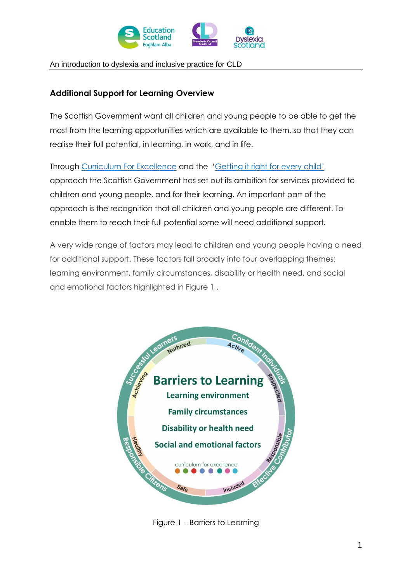

An introduction to dyslexia and inclusive practice for CLD

# **Additional Support for Learning Overview**

The Scottish Government want all children and young people to be able to get the most from the learning opportunities which are available to them, so that they can realise their full potential, in learning, in work, and in life.

Through [Curriculum For Excellence](http://www.gov.scot/Topics/Education/Schools/curriculum) and the ['Getting it right for every child'](http://www.gov.scot/Topics/People/Young-People/gettingitright) approach the Scottish Government has set out its ambition for services provided to children and young people, and for their learning. An important part of the approach is the recognition that all children and young people are different. To enable them to reach their full potential some will need additional support.

A very wide range of factors may lead to children and young people having a need for additional support. These factors fall broadly into four overlapping themes: learning environment, family circumstances, disability or health need, and social and emotional factors highlighted in Figure 1 .



Figure 1 – Barriers to Learning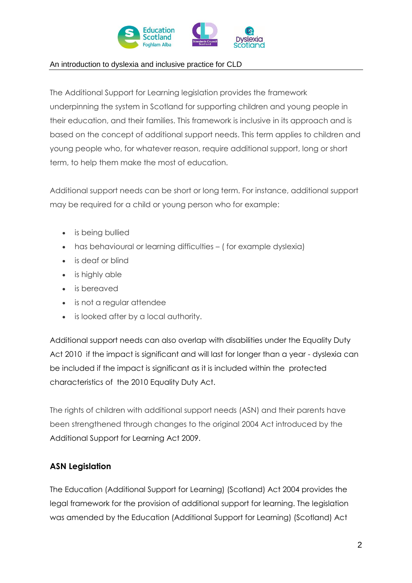

## An introduction to dyslexia and inclusive practice for CLD

The Additional Support for Learning legislation provides the framework underpinning the system in Scotland for supporting children and young people in their education, and their families. This framework is inclusive in its approach and is based on the concept of additional support needs. This term applies to children and young people who, for whatever reason, require additional support, long or short term, to help them make the most of education.

Additional support needs can be short or long term. For instance, additional support may be required for a child or young person who for example:

- is being bullied
- has behavioural or learning difficulties (for example dyslexia)
- is deaf or blind
- is highly able
- is bereaved
- is not a regular attendee
- is looked after by a local authority.

Additional support needs can also overlap with disabilities under the Equality Duty Act 2010 if the impact is significant and will last for longer than a year - dyslexia can be included if the impact is significant as it is included within the protected characteristics of the 2010 Equality Duty Act.

The rights of children with additional support needs (ASN) and their parents have been strengthened through changes to the original 2004 Act introduced by the [Additional Support for Learning Act 2009.](http://www.legislation.gov.uk/asp/2009/7/contents)

## **ASN Legislation**

The Education (Additional Support for Learning) (Scotland) Act 2004 provides the legal framework for the provision of additional support for learning. The legislation was amended by the Education (Additional Support for Learning) (Scotland) Act